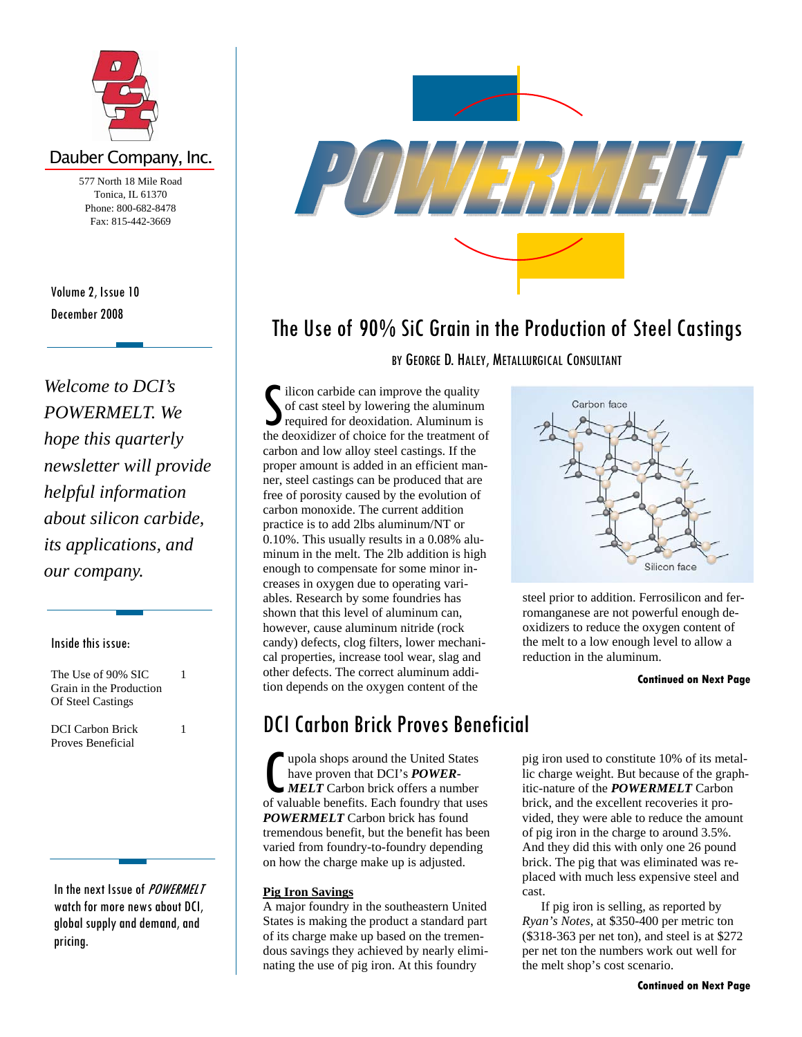

## Dauber Company, Inc.

577 North 18 Mile Road Tonica, IL 61370 Phone: 800-682-8478 Fax: 815-442-3669

December 2008 Volume 2, Issue 10

*Welcome to DCI's POWERMELT. We hope this quarterly newsletter will provide helpful information about silicon carbide, its applications, and our company.* 

#### Inside this issue:

The Use of 90% SIC Grain in the Production Of Steel Castings 1

1

DCI Carbon Brick Proves Beneficial

In the next Issue of *POWERMELT* watch for more news about DCI, global supply and demand, and pricing.



# The Use of 90% SiC Grain in the Production of Steel Castings

BY GEORGE D. HALEY, METALLURGICAL CONSULTANT

 $\int$  ilicon carbide can improve the quality<br>of cast steel by lowering the aluminum<br>required for deoxidation. Aluminum is<br>the deoxidizer of choice for the treatment c of cast steel by lowering the aluminum required for deoxidation. Aluminum is the deoxidizer of choice for the treatment of carbon and low alloy steel castings. If the proper amount is added in an efficient manner, steel castings can be produced that are free of porosity caused by the evolution of carbon monoxide. The current addition practice is to add 2lbs aluminum/NT or 0.10%. This usually results in a 0.08% aluminum in the melt. The 2lb addition is high enough to compensate for some minor increases in oxygen due to operating variables. Research by some foundries has shown that this level of aluminum can, however, cause aluminum nitride (rock candy) defects, clog filters, lower mechanical properties, increase tool wear, slag and other defects. The correct aluminum addition depends on the oxygen content of the

## DCI Carbon Brick Proves Beneficial

 $\begin{array}{l} \bigcap\limits_{\text{upola shops around the United States}} \text{have proven that DCI's } \textit{POWER-MELT} \text{ Carbon brick offers a number of valuable benefits. Each foundry that uses a specific model.} \end{array}$ have proven that DCI's *POWER-MELT* Carbon brick offers a number *POWERMELT* Carbon brick has found tremendous benefit, but the benefit has been varied from foundry-to-foundry depending on how the charge make up is adjusted.

## **Pig Iron Savings**

A major foundry in the southeastern United States is making the product a standard part of its charge make up based on the tremendous savings they achieved by nearly eliminating the use of pig iron. At this foundry



steel prior to addition. Ferrosilicon and ferromanganese are not powerful enough deoxidizers to reduce the oxygen content of the melt to a low enough level to allow a reduction in the aluminum.

#### **Continued on Next Page**

pig iron used to constitute 10% of its metallic charge weight. But because of the graphitic-nature of the *POWERMELT* Carbon brick, and the excellent recoveries it provided, they were able to reduce the amount of pig iron in the charge to around 3.5%. And they did this with only one 26 pound brick. The pig that was eliminated was replaced with much less expensive steel and cast.

 If pig iron is selling, as reported by *Ryan's Notes*, at \$350-400 per metric ton (\$318-363 per net ton), and steel is at \$272 per net ton the numbers work out well for the melt shop's cost scenario.